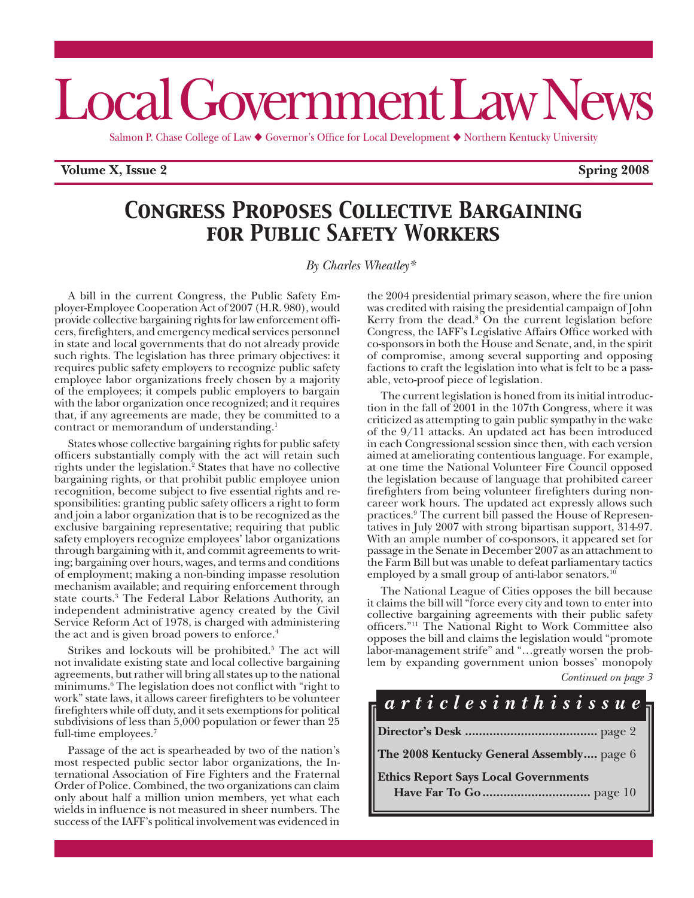# Local Government Law News

Salmon P. Chase College of Law  $\blacklozenge$  Governor's Office for Local Development  $\blacklozenge$  Northern Kentucky University

**Volume X, Issue 2 Spring 2008**

## *Congress Proposes Collective Bargaining for Public Safety Workers*

*By Charles Wheatley\**

A bill in the current Congress, the Public Safety Employer-Employee Cooperation Act of 2007 (H.R. 980), would provide collective bargaining rights for law enforcement officers, firefighters, and emergency medical services personnel in state and local governments that do not already provide such rights. The legislation has three primary objectives: it requires public safety employers to recognize public safety employee labor organizations freely chosen by a majority of the employees; it compels public employers to bargain with the labor organization once recognized; and it requires that, if any agreements are made, they be committed to a contract or memorandum of understanding.<sup>1</sup>

States whose collective bargaining rights for public safety officers substantially comply with the act will retain such rights under the legislation.<sup>2</sup> States that have no collective bargaining rights, or that prohibit public employee union recognition, become subject to five essential rights and responsibilities: granting public safety officers a right to form and join a labor organization that is to be recognized as the exclusive bargaining representative; requiring that public safety employers recognize employees' labor organizations through bargaining with it, and commit agreements to writing; bargaining over hours, wages, and terms and conditions of employment; making a non-binding impasse resolution mechanism available; and requiring enforcement through state courts.3 The Federal Labor Relations Authority, an independent administrative agency created by the Civil Service Reform Act of 1978, is charged with administering the act and is given broad powers to enforce.<sup>4</sup>

Strikes and lockouts will be prohibited.<sup>5</sup> The act will not invalidate existing state and local collective bargaining agreements, but rather will bring all states up to the national minimums.6 The legislation does not conflict with "right to work" state laws, it allows career firefighters to be volunteer firefighters while off duty, and it sets exemptions for political subdivisions of less than 5,000 population or fewer than 25 full-time employees.7

Passage of the act is spearheaded by two of the nation's most respected public sector labor organizations, the International Association of Fire Fighters and the Fraternal Order of Police. Combined, the two organizations can claim only about half a million union members, yet what each wields in influence is not measured in sheer numbers. The success of the IAFF's political involvement was evidenced in

the 2004 presidential primary season, where the fire union was credited with raising the presidential campaign of John Kerry from the dead.<sup>8</sup> On the current legislation before Congress, the IAFF's Legislative Affairs Office worked with co-sponsors in both the House and Senate, and, in the spirit of compromise, among several supporting and opposing factions to craft the legislation into what is felt to be a passable, veto-proof piece of legislation.

The current legislation is honed from its initial introduction in the fall of 2001 in the 107th Congress, where it was criticized as attempting to gain public sympathy in the wake of the 9/11 attacks. An updated act has been introduced in each Congressional session since then, with each version aimed at ameliorating contentious language. For example, at one time the National Volunteer Fire Council opposed the legislation because of language that prohibited career firefighters from being volunteer firefighters during noncareer work hours. The updated act expressly allows such practices.9 The current bill passed the House of Representatives in July 2007 with strong bipartisan support, 314-97. With an ample number of co-sponsors, it appeared set for passage in the Senate in December 2007 as an attachment to the Farm Bill but was unable to defeat parliamentary tactics employed by a small group of anti-labor senators.<sup>10</sup>

The National League of Cities opposes the bill because it claims the bill will "force every city and town to enter into collective bargaining agreements with their public safety officers."11 The National Right to Work Committee also opposes the bill and claims the legislation would "promote labor-management strife" and "…greatly worsen the problem by expanding government union bosses' monopoly

| Continued on page 3 |  |  |  |
|---------------------|--|--|--|
|---------------------|--|--|--|

## **Director's Desk ......................................** page 2 **The 2008 Kentucky General Assembly....** page 6 **Ethics Report Says Local Governments Have Far To Go...............................** page 10 *a r t i c l e s i n t h i s i s s u e*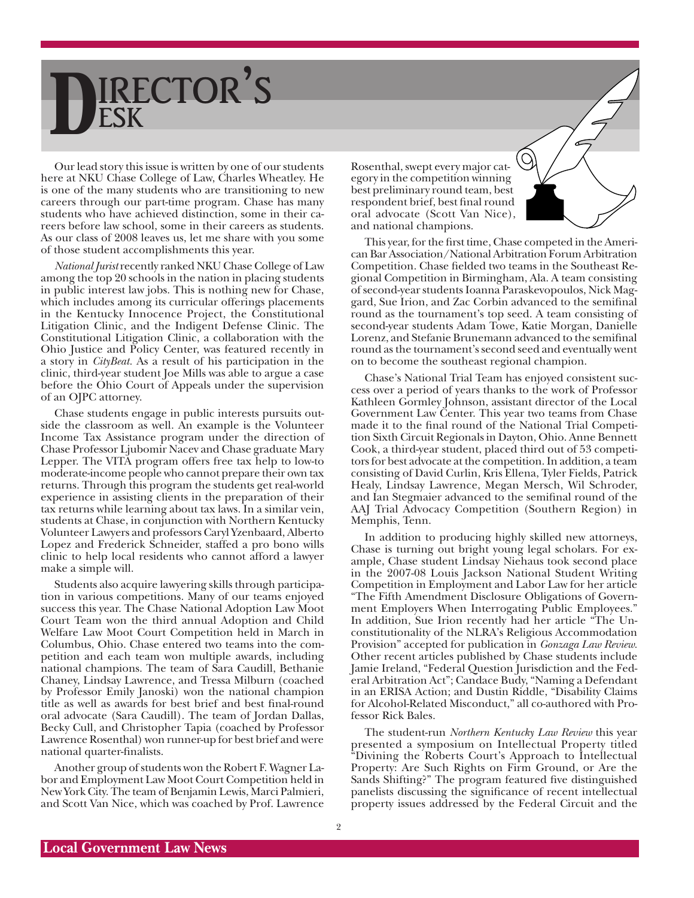## DESK RECTOR'S

Our lead story this issue is written by one of our students here at NKU Chase College of Law, Charles Wheatley. He is one of the many students who are transitioning to new careers through our part-time program. Chase has many students who have achieved distinction, some in their careers before law school, some in their careers as students. As our class of 2008 leaves us, let me share with you some of those student accomplishments this year.

*National Jurist* recently ranked NKU Chase College of Law among the top 20 schools in the nation in placing students in public interest law jobs. This is nothing new for Chase, which includes among its curricular offerings placements in the Kentucky Innocence Project, the Constitutional Litigation Clinic, and the Indigent Defense Clinic. The Constitutional Litigation Clinic, a collaboration with the Ohio Justice and Policy Center, was featured recently in a story in *CityBeat.* As a result of his participation in the clinic, third-year student Joe Mills was able to argue a case before the Ohio Court of Appeals under the supervision of an OJPC attorney.

Chase students engage in public interests pursuits outside the classroom as well. An example is the Volunteer Income Tax Assistance program under the direction of Chase Professor Ljubomir Nacev and Chase graduate Mary Lepper. The VITA program offers free tax help to low-to moderate-income people who cannot prepare their own tax returns. Through this program the students get real-world experience in assisting clients in the preparation of their tax returns while learning about tax laws. In a similar vein, students at Chase, in conjunction with Northern Kentucky Volunteer Lawyers and professors Caryl Yzenbaard, Alberto Lopez and Frederick Schneider, staffed a pro bono wills clinic to help local residents who cannot afford a lawyer make a simple will.

Students also acquire lawyering skills through participation in various competitions. Many of our teams enjoyed success this year. The Chase National Adoption Law Moot Court Team won the third annual Adoption and Child Welfare Law Moot Court Competition held in March in Columbus, Ohio. Chase entered two teams into the competition and each team won multiple awards, including national champions. The team of Sara Caudill, Bethanie Chaney, Lindsay Lawrence, and Tressa Milburn (coached by Professor Emily Janoski) won the national champion title as well as awards for best brief and best final-round oral advocate (Sara Caudill). The team of Jordan Dallas, Becky Cull, and Christopher Tapia (coached by Professor Lawrence Rosenthal) won runner-up for best brief and were national quarter-finalists.

Another group of students won the Robert F. Wagner Labor and Employment Law Moot Court Competition held in New York City. The team of Benjamin Lewis, Marci Palmieri, and Scott Van Nice, which was coached by Prof. Lawrence

Rosenthal, swept every major category in the competition winning best preliminary round team, best respondent brief, best final round oral advocate (Scott Van Nice), and national champions.

This year, for the first time, Chase competed in the American Bar Association/National Arbitration Forum Arbitration Competition. Chase fielded two teams in the Southeast Regional Competition in Birmingham, Ala. A team consisting of second-year students Ioanna Paraskevopoulos, Nick Maggard, Sue Irion, and Zac Corbin advanced to the semifinal round as the tournament's top seed. A team consisting of second-year students Adam Towe, Katie Morgan, Danielle Lorenz, and Stefanie Brunemann advanced to the semifinal round as the tournament's second seed and eventually went on to become the southeast regional champion.

Chase's National Trial Team has enjoyed consistent success over a period of years thanks to the work of Professor Kathleen Gormley Johnson, assistant director of the Local Government Law Center. This year two teams from Chase made it to the final round of the National Trial Competition Sixth Circuit Regionals in Dayton, Ohio. Anne Bennett Cook, a third-year student, placed third out of 53 competitors for best advocate at the competition. In addition, a team consisting of David Curlin, Kris Ellena, Tyler Fields, Patrick Healy, Lindsay Lawrence, Megan Mersch, Wil Schroder, and Ian Stegmaier advanced to the semifinal round of the AAJ Trial Advocacy Competition (Southern Region) in Memphis, Tenn.

In addition to producing highly skilled new attorneys, Chase is turning out bright young legal scholars. For example, Chase student Lindsay Niehaus took second place in the 2007-08 Louis Jackson National Student Writing Competition in Employment and Labor Law for her article "The Fifth Amendment Disclosure Obligations of Government Employers When Interrogating Public Employees." In addition, Sue Irion recently had her article "The Unconstitutionality of the NLRA's Religious Accommodation Provision" accepted for publication in *Gonzaga Law Review.* Other recent articles published by Chase students include Jamie Ireland, "Federal Question Jurisdiction and the Federal Arbitration Act"; Candace Budy, "Naming a Defendant in an ERISA Action; and Dustin Riddle, "Disability Claims for Alcohol-Related Misconduct," all co-authored with Professor Rick Bales.

The student-run *Northern Kentucky Law Review* this year presented a symposium on Intellectual Property titled "Divining the Roberts Court's Approach to Intellectual Property: Are Such Rights on Firm Ground, or Are the Sands Shifting?" The program featured five distinguished panelists discussing the significance of recent intellectual property issues addressed by the Federal Circuit and the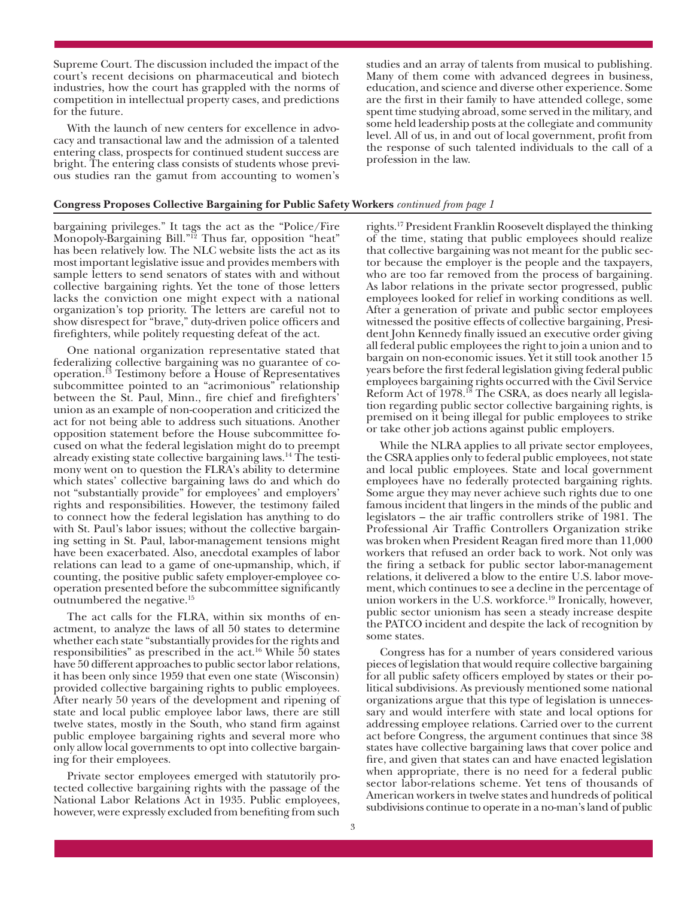Supreme Court. The discussion included the impact of the court's recent decisions on pharmaceutical and biotech industries, how the court has grappled with the norms of competition in intellectual property cases, and predictions for the future.

With the launch of new centers for excellence in advocacy and transactional law and the admission of a talented entering class, prospects for continued student success are bright. The entering class consists of students whose previous studies ran the gamut from accounting to women's studies and an array of talents from musical to publishing. Many of them come with advanced degrees in business, education, and science and diverse other experience. Some are the first in their family to have attended college, some spent time studying abroad, some served in the military, and some held leadership posts at the collegiate and community level. All of us, in and out of local government, profit from the response of such talented individuals to the call of a profession in the law.

#### **Congress Proposes Collective Bargaining for Public Safety Workers** *continued from page 1*

bargaining privileges." It tags the act as the "Police/Fire Monopoly-Bargaining Bill."<sup>12</sup> Thus far, opposition "heat" has been relatively low. The NLC website lists the act as its most important legislative issue and provides members with sample letters to send senators of states with and without collective bargaining rights. Yet the tone of those letters lacks the conviction one might expect with a national organization's top priority. The letters are careful not to show disrespect for "brave," duty-driven police officers and firefighters, while politely requesting defeat of the act.

One national organization representative stated that federalizing collective bargaining was no guarantee of cooperation.13 Testimony before a House of Representatives subcommittee pointed to an "acrimonious" relationship between the St. Paul, Minn., fire chief and firefighters' union as an example of non-cooperation and criticized the act for not being able to address such situations. Another opposition statement before the House subcommittee focused on what the federal legislation might do to preempt already existing state collective bargaining laws.14 The testimony went on to question the FLRA's ability to determine which states' collective bargaining laws do and which do not "substantially provide" for employees' and employers' rights and responsibilities. However, the testimony failed to connect how the federal legislation has anything to do with St. Paul's labor issues; without the collective bargaining setting in St. Paul, labor-management tensions might have been exacerbated. Also, anecdotal examples of labor relations can lead to a game of one-upmanship, which, if counting, the positive public safety employer-employee cooperation presented before the subcommittee significantly outnumbered the negative.15

The act calls for the FLRA, within six months of enactment, to analyze the laws of all 50 states to determine whether each state "substantially provides for the rights and responsibilities" as prescribed in the act.16 While 50 states have 50 different approaches to public sector labor relations, it has been only since 1959 that even one state (Wisconsin) provided collective bargaining rights to public employees. After nearly 50 years of the development and ripening of state and local public employee labor laws, there are still twelve states, mostly in the South, who stand firm against public employee bargaining rights and several more who only allow local governments to opt into collective bargaining for their employees.

Private sector employees emerged with statutorily protected collective bargaining rights with the passage of the National Labor Relations Act in 1935. Public employees, however, were expressly excluded from benefiting from such rights.17 President Franklin Roosevelt displayed the thinking of the time, stating that public employees should realize that collective bargaining was not meant for the public sector because the employer is the people and the taxpayers, who are too far removed from the process of bargaining. As labor relations in the private sector progressed, public employees looked for relief in working conditions as well. After a generation of private and public sector employees witnessed the positive effects of collective bargaining, President John Kennedy finally issued an executive order giving all federal public employees the right to join a union and to bargain on non-economic issues. Yet it still took another 15 years before the first federal legislation giving federal public employees bargaining rights occurred with the Civil Service Reform Act of 1978.<sup>18</sup> The CSRA, as does nearly all legislation regarding public sector collective bargaining rights, is premised on it being illegal for public employees to strike or take other job actions against public employers.

While the NLRA applies to all private sector employees, the CSRA applies only to federal public employees, not state and local public employees. State and local government employees have no federally protected bargaining rights. Some argue they may never achieve such rights due to one famous incident that lingers in the minds of the public and legislators – the air traffic controllers strike of 1981. The Professional Air Traffic Controllers Organization strike was broken when President Reagan fired more than 11,000 workers that refused an order back to work. Not only was the firing a setback for public sector labor-management relations, it delivered a blow to the entire U.S. labor movement, which continues to see a decline in the percentage of union workers in the U.S. workforce.<sup>19</sup> Ironically, however, public sector unionism has seen a steady increase despite the PATCO incident and despite the lack of recognition by some states.

Congress has for a number of years considered various pieces of legislation that would require collective bargaining for all public safety officers employed by states or their political subdivisions. As previously mentioned some national organizations argue that this type of legislation is unnecessary and would interfere with state and local options for addressing employee relations. Carried over to the current act before Congress, the argument continues that since 38 states have collective bargaining laws that cover police and fire, and given that states can and have enacted legislation when appropriate, there is no need for a federal public sector labor-relations scheme. Yet tens of thousands of American workers in twelve states and hundreds of political subdivisions continue to operate in a no-man's land of public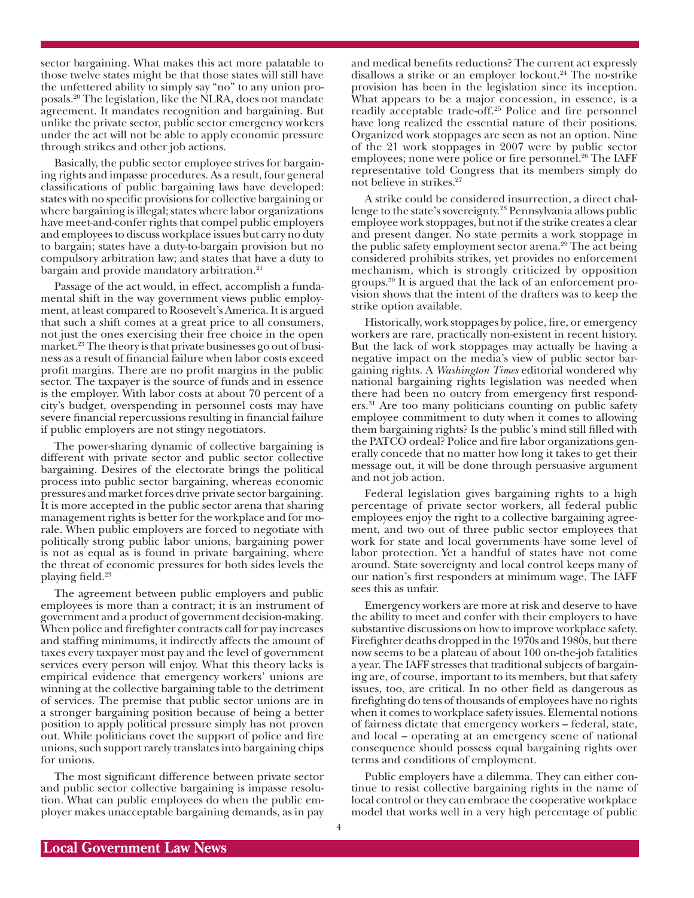sector bargaining. What makes this act more palatable to those twelve states might be that those states will still have the unfettered ability to simply say "no" to any union proposals.20 The legislation, like the NLRA, does not mandate agreement. It mandates recognition and bargaining. But unlike the private sector, public sector emergency workers under the act will not be able to apply economic pressure through strikes and other job actions.

Basically, the public sector employee strives for bargaining rights and impasse procedures. As a result, four general classifications of public bargaining laws have developed: states with no specific provisions for collective bargaining or where bargaining is illegal; states where labor organizations have meet-and-confer rights that compel public employers and employees to discuss workplace issues but carry no duty to bargain; states have a duty-to-bargain provision but no compulsory arbitration law; and states that have a duty to bargain and provide mandatory arbitration.<sup>21</sup>

Passage of the act would, in effect, accomplish a fundamental shift in the way government views public employment, at least compared to Roosevelt's America. It is argued that such a shift comes at a great price to all consumers, not just the ones exercising their free choice in the open market.<sup>23</sup> The theory is that private businesses go out of business as a result of financial failure when labor costs exceed profit margins. There are no profit margins in the public sector. The taxpayer is the source of funds and in essence is the employer. With labor costs at about 70 percent of a city's budget, overspending in personnel costs may have severe financial repercussions resulting in financial failure if public employers are not stingy negotiators.

The power-sharing dynamic of collective bargaining is different with private sector and public sector collective bargaining. Desires of the electorate brings the political process into public sector bargaining, whereas economic pressures and market forces drive private sector bargaining. It is more accepted in the public sector arena that sharing management rights is better for the workplace and for morale. When public employers are forced to negotiate with politically strong public labor unions, bargaining power is not as equal as is found in private bargaining, where the threat of economic pressures for both sides levels the playing field.<sup>23</sup>

The agreement between public employers and public employees is more than a contract; it is an instrument of government and a product of government decision-making. When police and firefighter contracts call for pay increases and staffing minimums, it indirectly affects the amount of taxes every taxpayer must pay and the level of government services every person will enjoy. What this theory lacks is empirical evidence that emergency workers' unions are winning at the collective bargaining table to the detriment of services. The premise that public sector unions are in a stronger bargaining position because of being a better position to apply political pressure simply has not proven out. While politicians covet the support of police and fire unions, such support rarely translates into bargaining chips for unions.

The most significant difference between private sector and public sector collective bargaining is impasse resolution. What can public employees do when the public employer makes unacceptable bargaining demands, as in pay and medical benefits reductions? The current act expressly disallows a strike or an employer lockout.24 The no-strike provision has been in the legislation since its inception. What appears to be a major concession, in essence, is a readily acceptable trade-off.25 Police and fire personnel have long realized the essential nature of their positions. Organized work stoppages are seen as not an option. Nine of the 21 work stoppages in 2007 were by public sector employees; none were police or fire personnel.<sup>26</sup> The IAFF representative told Congress that its members simply do not believe in strikes.27

A strike could be considered insurrection, a direct challenge to the state's sovereignty.28 Pennsylvania allows public employee work stoppages, but not if the strike creates a clear and present danger. No state permits a work stoppage in the public safety employment sector arena.<sup>29</sup> The act being considered prohibits strikes, yet provides no enforcement mechanism, which is strongly criticized by opposition groups.30 It is argued that the lack of an enforcement provision shows that the intent of the drafters was to keep the strike option available.

Historically, work stoppages by police, fire, or emergency workers are rare, practically non-existent in recent history. But the lack of work stoppages may actually be having a negative impact on the media's view of public sector bargaining rights. A *Washington Times* editorial wondered why national bargaining rights legislation was needed when there had been no outcry from emergency first responders.31 Are too many politicians counting on public safety employee commitment to duty when it comes to allowing them bargaining rights? Is the public's mind still filled with the PATCO ordeal? Police and fire labor organizations generally concede that no matter how long it takes to get their message out, it will be done through persuasive argument and not job action.

Federal legislation gives bargaining rights to a high percentage of private sector workers, all federal public employees enjoy the right to a collective bargaining agreement, and two out of three public sector employees that work for state and local governments have some level of labor protection. Yet a handful of states have not come around. State sovereignty and local control keeps many of our nation's first responders at minimum wage. The IAFF sees this as unfair.

Emergency workers are more at risk and deserve to have the ability to meet and confer with their employers to have substantive discussions on how to improve workplace safety. Firefighter deaths dropped in the 1970s and 1980s, but there now seems to be a plateau of about 100 on-the-job fatalities a year. The IAFF stresses that traditional subjects of bargaining are, of course, important to its members, but that safety issues, too, are critical. In no other field as dangerous as firefighting do tens of thousands of employees have no rights when it comes to workplace safety issues. Elemental notions of fairness dictate that emergency workers – federal, state, and local – operating at an emergency scene of national consequence should possess equal bargaining rights over terms and conditions of employment.

Public employers have a dilemma. They can either continue to resist collective bargaining rights in the name of local control or they can embrace the cooperative workplace model that works well in a very high percentage of public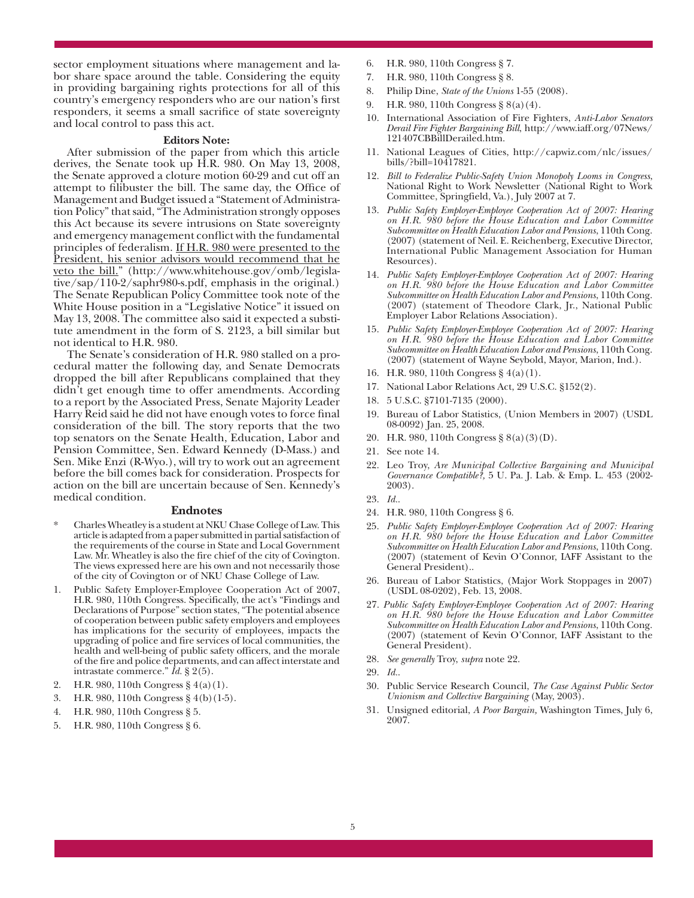sector employment situations where management and labor share space around the table. Considering the equity in providing bargaining rights protections for all of this country's emergency responders who are our nation's first responders, it seems a small sacrifice of state sovereignty and local control to pass this act.

#### **Editors Note:**

After submission of the paper from which this article derives, the Senate took up H.R. 980. On May 13, 2008, the Senate approved a cloture motion 60-29 and cut off an attempt to filibuster the bill. The same day, the Office of Management and Budget issued a "Statement of Administration Policy" that said, "The Administration strongly opposes this Act because its severe intrusions on State sovereignty and emergency management conflict with the fundamental principles of federalism. If H.R. 980 were presented to the President, his senior advisors would recommend that he veto the bill." (http://www.whitehouse.gov/omb/legislative/sap/110-2/saphr980-s.pdf, emphasis in the original.) The Senate Republican Policy Committee took note of the White House position in a "Legislative Notice" it issued on May 13, 2008. The committee also said it expected a substitute amendment in the form of S. 2123, a bill similar but not identical to H.R. 980.

The Senate's consideration of H.R. 980 stalled on a procedural matter the following day, and Senate Democrats dropped the bill after Republicans complained that they didn't get enough time to offer amendments. According to a report by the Associated Press, Senate Majority Leader Harry Reid said he did not have enough votes to force final consideration of the bill. The story reports that the two top senators on the Senate Health, Education, Labor and Pension Committee, Sen. Edward Kennedy (D-Mass.) and Sen. Mike Enzi (R-Wyo.), will try to work out an agreement before the bill comes back for consideration. Prospects for action on the bill are uncertain because of Sen. Kennedy's medical condition.

#### **Endnotes**

- \* Charles Wheatley is a student at NKU Chase College of Law. This article is adapted from a paper submitted in partial satisfaction of the requirements of the course in State and Local Government Law. Mr. Wheatley is also the fire chief of the city of Covington. The views expressed here are his own and not necessarily those of the city of Covington or of NKU Chase College of Law.
- Public Safety Employer-Employee Cooperation Act of 2007, H.R. 980, 110th Congress. Specifically, the act's "Findings and Declarations of Purpose" section states, "The potential absence of cooperation between public safety employers and employees has implications for the security of employees, impacts the upgrading of police and fire services of local communities, the health and well-being of public safety officers, and the morale of the fire and police departments, and can affect interstate and intrastate commerce." *Id.* § 2(5).
- 2. H.R. 980, 110th Congress § 4(a)(1).
- 3. H.R. 980, 110th Congress § 4(b)(1-5).
- 4. H.R. 980, 110th Congress § 5.
- 5. H.R. 980, 110th Congress § 6.
- 6. H.R. 980, 110th Congress § 7.
- 7. H.R. 980, 110th Congress § 8.
- 8. Philip Dine, *State of the Unions* 1-55 (2008).
- 9. H.R. 980, 110th Congress § 8(a)(4).
- 10. International Association of Fire Fighters, *Anti-Labor Senators Derail Fire Fighter Bargaining Bill*, http://www.iaff.org/07News/ 121407CBBillDerailed.htm.
- 11. National Leagues of Cities, http://capwiz.com/nlc/issues/ bills/?bill=10417821.
- 12. *Bill to Federalize Public-Safety Union Monopoly Looms in Congress*, National Right to Work Newsletter (National Right to Work Committee, Springfield, Va.), July 2007 at 7.
- 13. *Public Safety Employer-Employee Cooperation Act of 2007: Hearing on H.R. 980 before the House Education and Labor Committee Subcommittee on Health Education Labor and Pensions*, 110th Cong. (2007) (statement of Neil. E. Reichenberg, Executive Director, International Public Management Association for Human Resources).
- 14. *Public Safety Employer-Employee Cooperation Act of 2007: Hearing on H.R. 980 before the House Education and Labor Committee Subcommittee on Health Education Labor and Pensions*, 110th Cong. (2007) (statement of Theodore Clark, Jr., National Public Employer Labor Relations Association).
- 15. *Public Safety Employer-Employee Cooperation Act of 2007: Hearing on H.R. 980 before the House Education and Labor Committee Subcommittee on Health Education Labor and Pensions*, 110th Cong. (2007) (statement of Wayne Seybold, Mayor, Marion, Ind.).
- 16. H.R. 980, 110th Congress § 4(a)(1).
- 17. National Labor Relations Act, 29 U.S.C. §152(2).
- 18. 5 U.S.C. §7101-7135 (2000).
- 19. Bureau of Labor Statistics, (Union Members in 2007) (USDL 08-0092) Jan. 25, 2008.
- 20. H.R. 980, 110th Congress § 8(a)(3)(D).
- 21. See note 14.
- 22. Leo Troy, *Are Municipal Collective Bargaining and Municipal Governance Compatible?,* 5 U. Pa. J. Lab. & Emp. L. 453 (2002- 2003).
- 23. *Id.*.
- 24. H.R. 980, 110th Congress § 6.
- 25. *Public Safety Employer-Employee Cooperation Act of 2007: Hearing on H.R. 980 before the House Education and Labor Committee Subcommittee on Health Education Labor and Pensions*, 110th Cong. (2007) (statement of Kevin O'Connor, IAFF Assistant to the General President)..
- 26. Bureau of Labor Statistics, (Major Work Stoppages in 2007) (USDL 08-0202), Feb. 13, 2008.
- 27. *Public Safety Employer-Employee Cooperation Act of 2007: Hearing on H.R. 980 before the House Education and Labor Committee Subcommittee on Health Education Labor and Pensions*, 110th Cong. (2007) (statement of Kevin O'Connor, IAFF Assistant to the General President).
- 28. *See generally* Troy, *supra* note 22.
- 29. *Id.*.
- 30. Public Service Research Council, *The Case Against Public Sector Unionism and Collective Bargaining* (May, 2003).
- 31. Unsigned editorial, *A Poor Bargain,* Washington Times, July 6, 2007.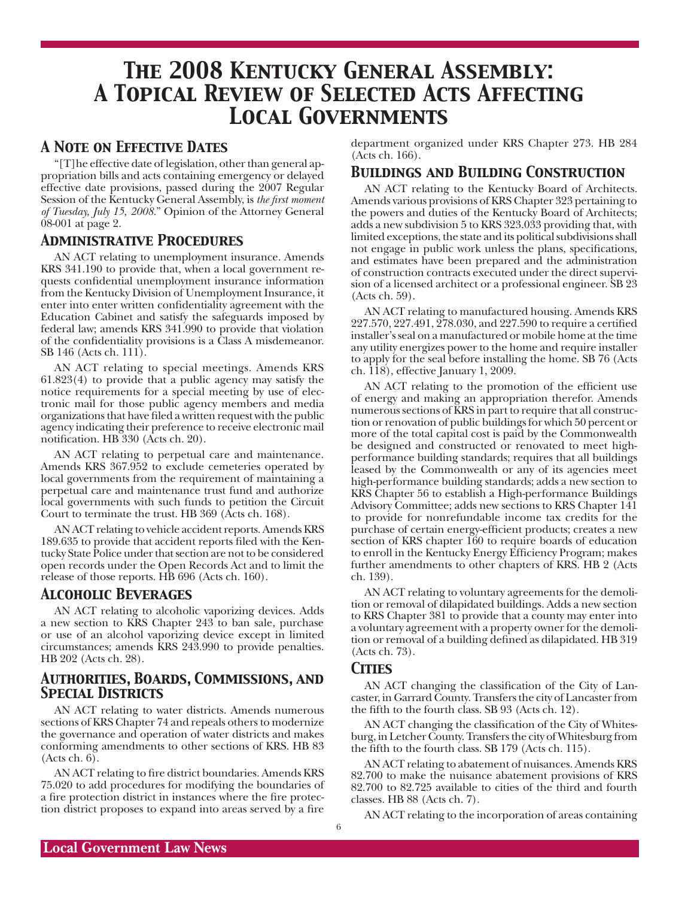## *The 2008 Kentucky General Assembly: A Topical Review of Selected Acts Affecting Local Governments*

#### *A Note on Effective Dates*

"[T]he effective date of legislation, other than general appropriation bills and acts containing emergency or delayed effective date provisions, passed during the 2007 Regular Session of the Kentucky General Assembly, is *the first moment of Tuesday, July 15, 2008.*" Opinion of the Attorney General 08-001 at page 2.

#### *Administrative Procedures*

AN ACT relating to unemployment insurance. Amends KRS 341.190 to provide that, when a local government requests confidential unemployment insurance information from the Kentucky Division of Unemployment Insurance, it enter into enter written confidentiality agreement with the Education Cabinet and satisfy the safeguards imposed by federal law; amends KRS 341.990 to provide that violation of the confidentiality provisions is a Class A misdemeanor. SB 146 (Acts ch. 111).

AN ACT relating to special meetings. Amends KRS 61.823(4) to provide that a public agency may satisfy the notice requirements for a special meeting by use of electronic mail for those public agency members and media organizations that have filed a written request with the public agency indicating their preference to receive electronic mail notification. HB 330 (Acts ch. 20).

AN ACT relating to perpetual care and maintenance. Amends KRS 367.952 to exclude cemeteries operated by local governments from the requirement of maintaining a perpetual care and maintenance trust fund and authorize local governments with such funds to petition the Circuit Court to terminate the trust. HB 369 (Acts ch. 168).

AN ACT relating to vehicle accident reports. Amends KRS 189.635 to provide that accident reports filed with the Kentucky State Police under that section are not to be considered open records under the Open Records Act and to limit the release of those reports. HB 696 (Acts ch. 160).

#### *Alcoholic Beverages*

AN ACT relating to alcoholic vaporizing devices. Adds a new section to KRS Chapter 243 to ban sale, purchase or use of an alcohol vaporizing device except in limited circumstances; amends KRS 243.990 to provide penalties. HB 202 (Acts ch. 28).

#### *Authorities, Boards, Commissions, and Special Districts*

AN ACT relating to water districts. Amends numerous sections of KRS Chapter 74 and repeals others to modernize the governance and operation of water districts and makes conforming amendments to other sections of KRS. HB 83 (Acts ch. 6).

AN ACT relating to fire district boundaries. Amends KRS 75.020 to add procedures for modifying the boundaries of a fire protection district in instances where the fire protection district proposes to expand into areas served by a fire

department organized under KRS Chapter 273. HB 284 (Acts ch. 166).

#### *Buildings and Building Construction*

AN ACT relating to the Kentucky Board of Architects. Amends various provisions of KRS Chapter 323 pertaining to the powers and duties of the Kentucky Board of Architects; adds a new subdivision 5 to KRS 323.033 providing that, with limited exceptions, the state and its political subdivisions shall not engage in public work unless the plans, specifications, and estimates have been prepared and the administration of construction contracts executed under the direct supervision of a licensed architect or a professional engineer. SB 23 (Acts ch. 59).

AN ACT relating to manufactured housing. Amends KRS 227.570, 227.491, 278.030, and 227.590 to require a certified installer's seal on a manufactured or mobile home at the time any utility energizes power to the home and require installer to apply for the seal before installing the home. SB 76 (Acts ch. 118), effective January 1, 2009.

AN ACT relating to the promotion of the efficient use of energy and making an appropriation therefor. Amends numerous sections of KRS in part to require that all construction or renovation of public buildings for which 50 percent or more of the total capital cost is paid by the Commonwealth be designed and constructed or renovated to meet highperformance building standards; requires that all buildings leased by the Commonwealth or any of its agencies meet high-performance building standards; adds a new section to KRS Chapter 56 to establish a High-performance Buildings Advisory Committee; adds new sections to KRS Chapter 141 to provide for nonrefundable income tax credits for the purchase of certain energy-efficient products; creates a new section of KRS chapter 160 to require boards of education to enroll in the Kentucky Energy Efficiency Program; makes further amendments to other chapters of KRS. HB 2 (Acts ch. 139).

AN ACT relating to voluntary agreements for the demolition or removal of dilapidated buildings. Adds a new section to KRS Chapter 381 to provide that a county may enter into a voluntary agreement with a property owner for the demolition or removal of a building defined as dilapidated. HB 319 (Acts ch. 73).

#### *Cities*

AN ACT changing the classification of the City of Lancaster, in Garrard County. Transfers the city of Lancaster from the fifth to the fourth class. SB 93 (Acts ch. 12).

AN ACT changing the classification of the City of Whitesburg, in Letcher County. Transfers the city of Whitesburg from the fifth to the fourth class. SB 179 (Acts ch. 115).

AN ACT relating to abatement of nuisances. Amends KRS 82.700 to make the nuisance abatement provisions of KRS 82.700 to 82.725 available to cities of the third and fourth classes. HB 88 (Acts ch. 7).

AN ACT relating to the incorporation of areas containing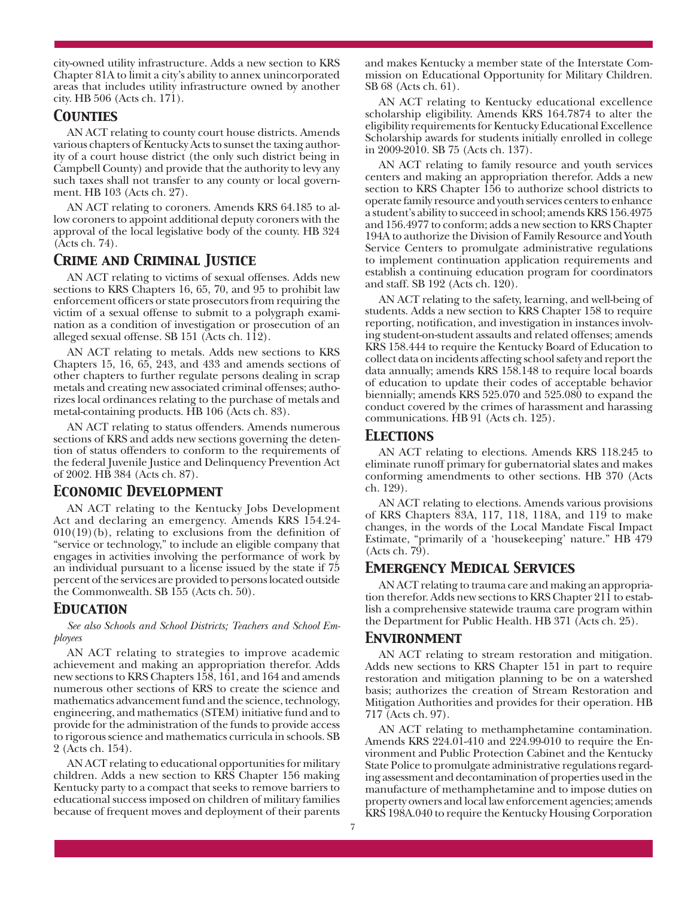city-owned utility infrastructure. Adds a new section to KRS Chapter 81A to limit a city's ability to annex unincorporated areas that includes utility infrastructure owned by another city. HB 506 (Acts ch. 171).

#### *Counties*

AN ACT relating to county court house districts. Amends various chapters of Kentucky Acts to sunset the taxing authority of a court house district (the only such district being in Campbell County) and provide that the authority to levy any such taxes shall not transfer to any county or local government. HB 103 (Acts ch. 27).

AN ACT relating to coroners. Amends KRS 64.185 to allow coroners to appoint additional deputy coroners with the approval of the local legislative body of the county. HB 324 (Acts ch. 74).

#### *Crime and Criminal Justice*

AN ACT relating to victims of sexual offenses. Adds new sections to KRS Chapters 16, 65, 70, and 95 to prohibit law enforcement officers or state prosecutors from requiring the victim of a sexual offense to submit to a polygraph examination as a condition of investigation or prosecution of an alleged sexual offense. SB 151 (Acts ch. 112).

AN ACT relating to metals. Adds new sections to KRS Chapters 15, 16, 65, 243, and 433 and amends sections of other chapters to further regulate persons dealing in scrap metals and creating new associated criminal offenses; authorizes local ordinances relating to the purchase of metals and metal-containing products. HB 106 (Acts ch. 83).

AN ACT relating to status offenders. Amends numerous sections of KRS and adds new sections governing the detention of status offenders to conform to the requirements of the federal Juvenile Justice and Delinquency Prevention Act of 2002. HB 384 (Acts ch. 87).

#### *Economic Development*

AN ACT relating to the Kentucky Jobs Development Act and declaring an emergency. Amends KRS 154.24-  $010(19)$ (b), relating to exclusions from the definition of "service or technology," to include an eligible company that engages in activities involving the performance of work by an individual pursuant to a license issued by the state if 75 percent of the services are provided to persons located outside the Commonwealth. SB 155 (Acts ch. 50).

#### *Education*

*See also Schools and School Districts; Teachers and School Employees*

AN ACT relating to strategies to improve academic achievement and making an appropriation therefor. Adds new sections to KRS Chapters 158, 161, and 164 and amends numerous other sections of KRS to create the science and mathematics advancement fund and the science, technology, engineering, and mathematics (STEM) initiative fund and to provide for the administration of the funds to provide access to rigorous science and mathematics curricula in schools. SB 2 (Acts ch. 154).

AN ACT relating to educational opportunities for military children. Adds a new section to KRS Chapter 156 making Kentucky party to a compact that seeks to remove barriers to educational success imposed on children of military families because of frequent moves and deployment of their parents and makes Kentucky a member state of the Interstate Commission on Educational Opportunity for Military Children. SB 68 (Acts ch. 61).

AN ACT relating to Kentucky educational excellence scholarship eligibility. Amends KRS 164.7874 to alter the eligibility requirements for Kentucky Educational Excellence Scholarship awards for students initially enrolled in college in 2009-2010. SB 75 (Acts ch. 137).

AN ACT relating to family resource and youth services centers and making an appropriation therefor. Adds a new section to KRS Chapter 156 to authorize school districts to operate family resource and youth services centers to enhance a student's ability to succeed in school; amends KRS 156.4975 and 156.4977 to conform; adds a new section to KRS Chapter 194A to authorize the Division of Family Resource and Youth Service Centers to promulgate administrative regulations to implement continuation application requirements and establish a continuing education program for coordinators and staff. SB 192 (Acts ch. 120).

AN ACT relating to the safety, learning, and well-being of students. Adds a new section to KRS Chapter 158 to require reporting, notification, and investigation in instances involving student-on-student assaults and related offenses; amends KRS 158.444 to require the Kentucky Board of Education to collect data on incidents affecting school safety and report the data annually; amends KRS 158.148 to require local boards of education to update their codes of acceptable behavior biennially; amends KRS 525.070 and 525.080 to expand the conduct covered by the crimes of harassment and harassing communications. HB 91 (Acts ch. 125).

#### *Elections*

AN ACT relating to elections. Amends KRS 118.245 to eliminate runoff primary for gubernatorial slates and makes conforming amendments to other sections. HB 370 (Acts ch. 129).

AN ACT relating to elections. Amends various provisions of KRS Chapters 83A, 117, 118, 118A, and 119 to make changes, in the words of the Local Mandate Fiscal Impact Estimate, "primarily of a 'housekeeping' nature." HB 479 (Acts ch. 79).

#### *Emergency Medical Services*

AN ACT relating to trauma care and making an appropriation therefor. Adds new sections to KRS Chapter 211 to establish a comprehensive statewide trauma care program within the Department for Public Health. HB 371 (Acts ch. 25).

#### *Environment*

AN ACT relating to stream restoration and mitigation. Adds new sections to KRS Chapter 151 in part to require restoration and mitigation planning to be on a watershed basis; authorizes the creation of Stream Restoration and Mitigation Authorities and provides for their operation. HB 717 (Acts ch. 97).

AN ACT relating to methamphetamine contamination. Amends KRS 224.01-410 and 224.99-010 to require the Environment and Public Protection Cabinet and the Kentucky State Police to promulgate administrative regulations regarding assessment and decontamination of properties used in the manufacture of methamphetamine and to impose duties on property owners and local law enforcement agencies; amends KRS 198A.040 to require the Kentucky Housing Corporation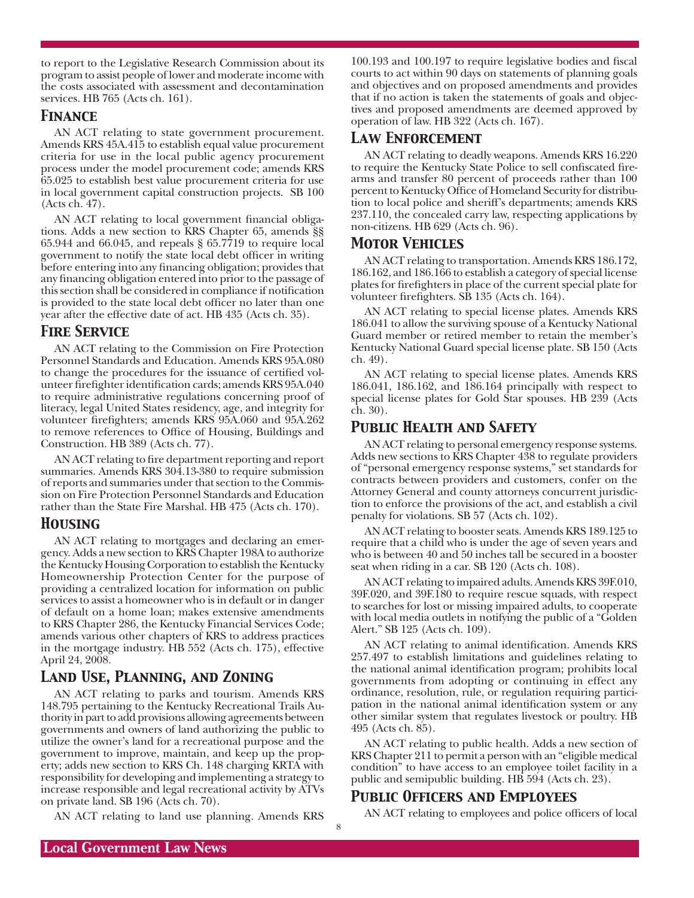to report to the Legislative Research Commission about its program to assist people of lower and moderate income with the costs associated with assessment and decontamination services. HB 765 (Acts ch. 161).

#### *Finance*

AN ACT relating to state government procurement. Amends KRS 45A.415 to establish equal value procurement criteria for use in the local public agency procurement process under the model procurement code; amends KRS 65.025 to establish best value procurement criteria for use in local government capital construction projects. SB 100 (Acts ch. 47).

AN ACT relating to local government financial obligations. Adds a new section to KRS Chapter 65, amends §§  $65.944$  and  $66.045$ , and repeals §  $65.7719$  to require local government to notify the state local debt officer in writing before entering into any financing obligation; provides that any financing obligation entered into prior to the passage of this section shall be considered in compliance if notification is provided to the state local debt officer no later than one year after the effective date of act. HB 435 (Acts ch. 35).

#### *Fire Service*

AN ACT relating to the Commission on Fire Protection Personnel Standards and Education. Amends KRS 95A.080 to change the procedures for the issuance of certified volunteer firefighter identification cards; amends KRS 95A.040 to require administrative regulations concerning proof of literacy, legal United States residency, age, and integrity for volunteer firefighters; amends KRS 95A.060 and 95A.262 to remove references to Office of Housing, Buildings and Construction. HB 389 (Acts ch. 77).

AN ACT relating to fire department reporting and report summaries. Amends KRS 304.13-380 to require submission of reports and summaries under that section to the Commission on Fire Protection Personnel Standards and Education rather than the State Fire Marshal. HB 475 (Acts ch. 170).

#### *Housing*

AN ACT relating to mortgages and declaring an emergency. Adds a new section to KRS Chapter 198A to authorize the Kentucky Housing Corporation to establish the Kentucky Homeownership Protection Center for the purpose of providing a centralized location for information on public services to assist a homeowner who is in default or in danger of default on a home loan; makes extensive amendments to KRS Chapter 286, the Kentucky Financial Services Code; amends various other chapters of KRS to address practices in the mortgage industry. HB 552 (Acts ch. 175), effective April 24, 2008.

#### *Land Use, Planning, and Zoning*

AN ACT relating to parks and tourism. Amends KRS 148.795 pertaining to the Kentucky Recreational Trails Authority in part to add provisions allowing agreements between governments and owners of land authorizing the public to utilize the owner's land for a recreational purpose and the government to improve, maintain, and keep up the property; adds new section to KRS Ch. 148 charging KRTA with responsibility for developing and implementing a strategy to increase responsible and legal recreational activity by ATVs on private land. SB 196 (Acts ch. 70).

AN ACT relating to land use planning. Amends KRS

100.193 and 100.197 to require legislative bodies and fiscal courts to act within 90 days on statements of planning goals and objectives and on proposed amendments and provides that if no action is taken the statements of goals and objectives and proposed amendments are deemed approved by operation of law. HB 322 (Acts ch. 167).

#### *Law Enforcement*

AN ACT relating to deadly weapons. Amends KRS 16.220 to require the Kentucky State Police to sell confiscated firearms and transfer 80 percent of proceeds rather than 100 percent to Kentucky Office of Homeland Security for distribution to local police and sheriff's departments; amends KRS 237.110, the concealed carry law, respecting applications by non-citizens. HB 629 (Acts ch. 96).

#### *Motor Vehicles*

AN ACT relating to transportation. Amends KRS 186.172, 186.162, and 186.166 to establish a category of special license plates for firefighters in place of the current special plate for volunteer firefighters. SB 135 (Acts ch. 164).

AN ACT relating to special license plates. Amends KRS 186.041 to allow the surviving spouse of a Kentucky National Guard member or retired member to retain the member's Kentucky National Guard special license plate. SB 150 (Acts ch. 49).

AN ACT relating to special license plates. Amends KRS 186.041, 186.162, and 186.164 principally with respect to special license plates for Gold Star spouses. HB 239 (Acts ch. 30).

#### *Public Health and Safety*

AN ACT relating to personal emergency response systems. Adds new sections to KRS Chapter 438 to regulate providers of "personal emergency response systems," set standards for contracts between providers and customers, confer on the Attorney General and county attorneys concurrent jurisdiction to enforce the provisions of the act, and establish a civil penalty for violations. SB 57 (Acts ch. 102).

AN ACT relating to booster seats. Amends KRS 189.125 to require that a child who is under the age of seven years and who is between 40 and 50 inches tall be secured in a booster seat when riding in a car. SB 120 (Acts ch. 108).

AN ACT relating to impaired adults. Amends KRS 39F.010, 39F.020, and 39F.180 to require rescue squads, with respect to searches for lost or missing impaired adults, to cooperate with local media outlets in notifying the public of a "Golden Alert." SB 125 (Acts ch. 109).

AN ACT relating to animal identification. Amends KRS 257.497 to establish limitations and guidelines relating to the national animal identification program; prohibits local governments from adopting or continuing in effect any ordinance, resolution, rule, or regulation requiring participation in the national animal identification system or any other similar system that regulates livestock or poultry. HB 495 (Acts ch. 85).

AN ACT relating to public health. Adds a new section of KRS Chapter 211 to permit a person with an "eligible medical condition" to have access to an employee toilet facility in a public and semipublic building. HB 594 (Acts ch. 23).

#### *Public Officers and Employees*

8

AN ACT relating to employees and police officers of local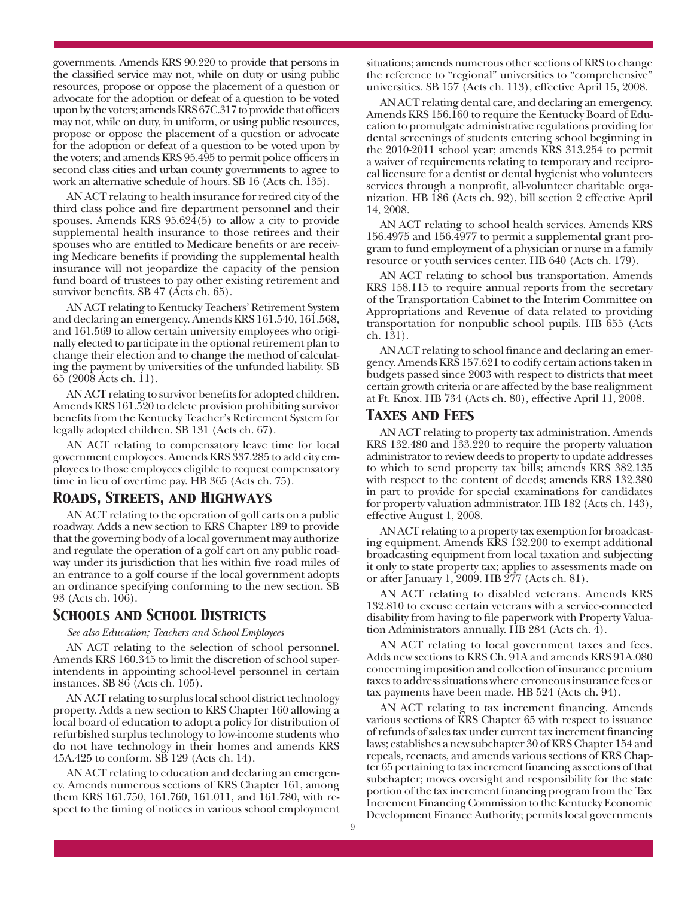governments. Amends KRS 90.220 to provide that persons in the classified service may not, while on duty or using public resources, propose or oppose the placement of a question or advocate for the adoption or defeat of a question to be voted upon by the voters; amends KRS 67C.317 to provide that officers may not, while on duty, in uniform, or using public resources, propose or oppose the placement of a question or advocate for the adoption or defeat of a question to be voted upon by the voters; and amends KRS 95.495 to permit police officers in second class cities and urban county governments to agree to work an alternative schedule of hours. SB 16 (Acts ch. 135).

AN ACT relating to health insurance for retired city of the third class police and fire department personnel and their spouses. Amends KRS 95.624(5) to allow a city to provide supplemental health insurance to those retirees and their spouses who are entitled to Medicare benefits or are receiving Medicare benefits if providing the supplemental health insurance will not jeopardize the capacity of the pension fund board of trustees to pay other existing retirement and survivor benefits. SB 47 (Acts ch. 65).

AN ACT relating to Kentucky Teachers' Retirement System and declaring an emergency. Amends KRS 161.540, 161.568, and 161.569 to allow certain university employees who originally elected to participate in the optional retirement plan to change their election and to change the method of calculating the payment by universities of the unfunded liability. SB 65 (2008 Acts ch. 11).

AN ACT relating to survivor benefits for adopted children. Amends KRS 161.520 to delete provision prohibiting survivor benefits from the Kentucky Teacher's Retirement System for legally adopted children. SB 131 (Acts ch. 67).

AN ACT relating to compensatory leave time for local government employees. Amends KRS 337.285 to add city employees to those employees eligible to request compensatory time in lieu of overtime pay. HB 365 (Acts ch. 75).

#### *Roads, Streets, and Highways*

AN ACT relating to the operation of golf carts on a public roadway. Adds a new section to KRS Chapter 189 to provide that the governing body of a local government may authorize and regulate the operation of a golf cart on any public roadway under its jurisdiction that lies within five road miles of an entrance to a golf course if the local government adopts an ordinance specifying conforming to the new section. SB 93 (Acts ch. 106).

#### *Schools and School Districts*

*See also Education; Teachers and School Employees*

AN ACT relating to the selection of school personnel. Amends KRS 160.345 to limit the discretion of school superintendents in appointing school-level personnel in certain instances. SB 86 (Acts ch. 105).

AN ACT relating to surplus local school district technology property. Adds a new section to KRS Chapter 160 allowing a local board of education to adopt a policy for distribution of refurbished surplus technology to low-income students who do not have technology in their homes and amends KRS 45A.425 to conform. SB 129 (Acts ch. 14).

AN ACT relating to education and declaring an emergency. Amends numerous sections of KRS Chapter 161, among them KRS 161.750, 161.760, 161.011, and 161.780, with respect to the timing of notices in various school employment situations; amends numerous other sections of KRS to change the reference to "regional" universities to "comprehensive" universities. SB 157 (Acts ch. 113), effective April 15, 2008.

AN ACT relating dental care, and declaring an emergency. Amends KRS 156.160 to require the Kentucky Board of Education to promulgate administrative regulations providing for dental screenings of students entering school beginning in the 2010-2011 school year; amends KRS 313.254 to permit a waiver of requirements relating to temporary and reciprocal licensure for a dentist or dental hygienist who volunteers services through a nonprofit, all-volunteer charitable organization. HB 186 (Acts ch. 92), bill section 2 effective April 14, 2008.

AN ACT relating to school health services. Amends KRS 156.4975 and 156.4977 to permit a supplemental grant program to fund employment of a physician or nurse in a family resource or youth services center. HB 640 (Acts ch. 179).

AN ACT relating to school bus transportation. Amends KRS 158.115 to require annual reports from the secretary of the Transportation Cabinet to the Interim Committee on Appropriations and Revenue of data related to providing transportation for nonpublic school pupils. HB 655 (Acts ch. 131).

AN ACT relating to school finance and declaring an emergency. Amends KRS 157.621 to codify certain actions taken in budgets passed since 2003 with respect to districts that meet certain growth criteria or are affected by the base realignment at Ft. Knox. HB 734 (Acts ch. 80), effective April 11, 2008.

#### *Taxes and Fees*

AN ACT relating to property tax administration. Amends KRS 132.480 and 133.220 to require the property valuation administrator to review deeds to property to update addresses to which to send property tax bills; amends KRS 382.135 with respect to the content of deeds; amends KRS 132.380 in part to provide for special examinations for candidates for property valuation administrator. HB 182 (Acts ch. 143), effective August 1, 2008.

AN ACT relating to a property tax exemption for broadcasting equipment. Amends KRS 132.200 to exempt additional broadcasting equipment from local taxation and subjecting it only to state property tax; applies to assessments made on or after January 1, 2009. HB 277 (Acts ch. 81).

AN ACT relating to disabled veterans. Amends KRS 132.810 to excuse certain veterans with a service-connected disability from having to file paperwork with Property Valuation Administrators annually. HB 284 (Acts ch. 4).

AN ACT relating to local government taxes and fees. Adds new sections to KRS Ch. 91A and amends KRS 91A.080 concerning imposition and collection of insurance premium taxes to address situations where erroneous insurance fees or tax payments have been made. HB 524 (Acts ch. 94).

AN ACT relating to tax increment financing. Amends various sections of KRS Chapter 65 with respect to issuance of refunds of sales tax under current tax increment financing laws; establishes a new subchapter 30 of KRS Chapter 154 and repeals, reenacts, and amends various sections of KRS Chapter 65 pertaining to tax increment financing as sections of that subchapter; moves oversight and responsibility for the state portion of the tax increment financing program from the Tax Increment Financing Commission to the Kentucky Economic Development Finance Authority; permits local governments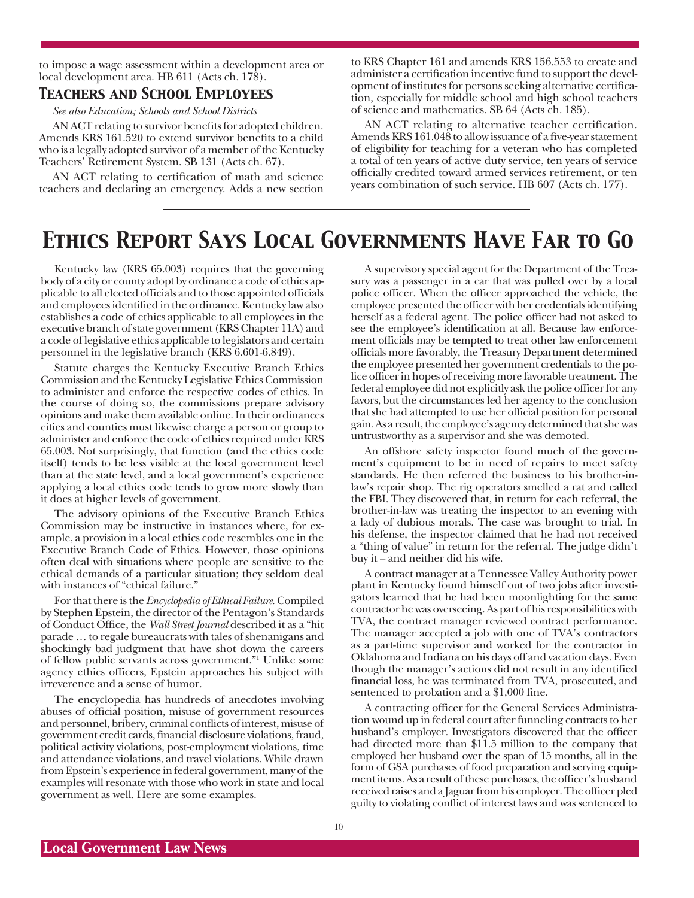to impose a wage assessment within a development area or local development area. HB 611 (Acts ch. 178).

#### *Teachers and School Employees*

*See also Education; Schools and School Districts*

AN ACT relating to survivor benefits for adopted children. Amends KRS 161.520 to extend survivor benefits to a child who is a legally adopted survivor of a member of the Kentucky Teachers' Retirement System. SB 131 (Acts ch. 67).

AN ACT relating to certification of math and science teachers and declaring an emergency. Adds a new section to KRS Chapter 161 and amends KRS 156.553 to create and administer a certification incentive fund to support the development of institutes for persons seeking alternative certification, especially for middle school and high school teachers of science and mathematics. SB 64 (Acts ch. 185).

AN ACT relating to alternative teacher certification. Amends KRS 161.048 to allow issuance of a five-year statement of eligibility for teaching for a veteran who has completed a total of ten years of active duty service, ten years of service officially credited toward armed services retirement, or ten years combination of such service. HB 607 (Acts ch. 177).

## *Ethics Report Says Local Governments Have Far to Go*

Kentucky law (KRS 65.003) requires that the governing body of a city or county adopt by ordinance a code of ethics applicable to all elected officials and to those appointed officials and employees identified in the ordinance. Kentucky law also establishes a code of ethics applicable to all employees in the executive branch of state government (KRS Chapter 11A) and a code of legislative ethics applicable to legislators and certain personnel in the legislative branch (KRS 6.601-6.849).

Statute charges the Kentucky Executive Branch Ethics Commission and the Kentucky Legislative Ethics Commission to administer and enforce the respective codes of ethics. In the course of doing so, the commissions prepare advisory opinions and make them available online. In their ordinances cities and counties must likewise charge a person or group to administer and enforce the code of ethics required under KRS 65.003. Not surprisingly, that function (and the ethics code itself) tends to be less visible at the local government level than at the state level, and a local government's experience applying a local ethics code tends to grow more slowly than it does at higher levels of government.

The advisory opinions of the Executive Branch Ethics Commission may be instructive in instances where, for example, a provision in a local ethics code resembles one in the Executive Branch Code of Ethics. However, those opinions often deal with situations where people are sensitive to the ethical demands of a particular situation; they seldom deal with instances of "ethical failure."

For that there is the *Encyclopedia of Ethical Failure*. Compiled by Stephen Epstein, the director of the Pentagon's Standards of Conduct Office, the *Wall Street Journal* described it as a "hit parade … to regale bureaucrats with tales of shenanigans and shockingly bad judgment that have shot down the careers of fellow public servants across government."1 Unlike some agency ethics officers, Epstein approaches his subject with irreverence and a sense of humor.

The encyclopedia has hundreds of anecdotes involving abuses of official position, misuse of government resources and personnel, bribery, criminal conflicts of interest, misuse of government credit cards, financial disclosure violations, fraud, political activity violations, post-employment violations, time and attendance violations, and travel violations. While drawn from Epstein's experience in federal government, many of the examples will resonate with those who work in state and local government as well. Here are some examples.

A supervisory special agent for the Department of the Treasury was a passenger in a car that was pulled over by a local police officer. When the officer approached the vehicle, the employee presented the officer with her credentials identifying herself as a federal agent. The police officer had not asked to see the employee's identification at all. Because law enforcement officials may be tempted to treat other law enforcement officials more favorably, the Treasury Department determined the employee presented her government credentials to the police officer in hopes of receiving more favorable treatment. The federal employee did not explicitly ask the police officer for any favors, but the circumstances led her agency to the conclusion that she had attempted to use her official position for personal gain. As a result, the employee's agency determined that she was untrustworthy as a supervisor and she was demoted.

An offshore safety inspector found much of the government's equipment to be in need of repairs to meet safety standards. He then referred the business to his brother-inlaw's repair shop. The rig operators smelled a rat and called the FBI. They discovered that, in return for each referral, the brother-in-law was treating the inspector to an evening with a lady of dubious morals. The case was brought to trial. In his defense, the inspector claimed that he had not received a "thing of value" in return for the referral. The judge didn't buy it – and neither did his wife.

A contract manager at a Tennessee Valley Authority power plant in Kentucky found himself out of two jobs after investigators learned that he had been moonlighting for the same contractor he was overseeing. As part of his responsibilities with TVA, the contract manager reviewed contract performance. The manager accepted a job with one of TVA's contractors as a part-time supervisor and worked for the contractor in Oklahoma and Indiana on his days off and vacation days. Even though the manager's actions did not result in any identified financial loss, he was terminated from TVA, prosecuted, and sentenced to probation and a \$1,000 fine.

A contracting officer for the General Services Administration wound up in federal court after funneling contracts to her husband's employer. Investigators discovered that the officer had directed more than \$11.5 million to the company that employed her husband over the span of 15 months, all in the form of GSA purchases of food preparation and serving equipment items. As a result of these purchases, the officer's husband received raises and a Jaguar from his employer. The officer pled guilty to violating conflict of interest laws and was sentenced to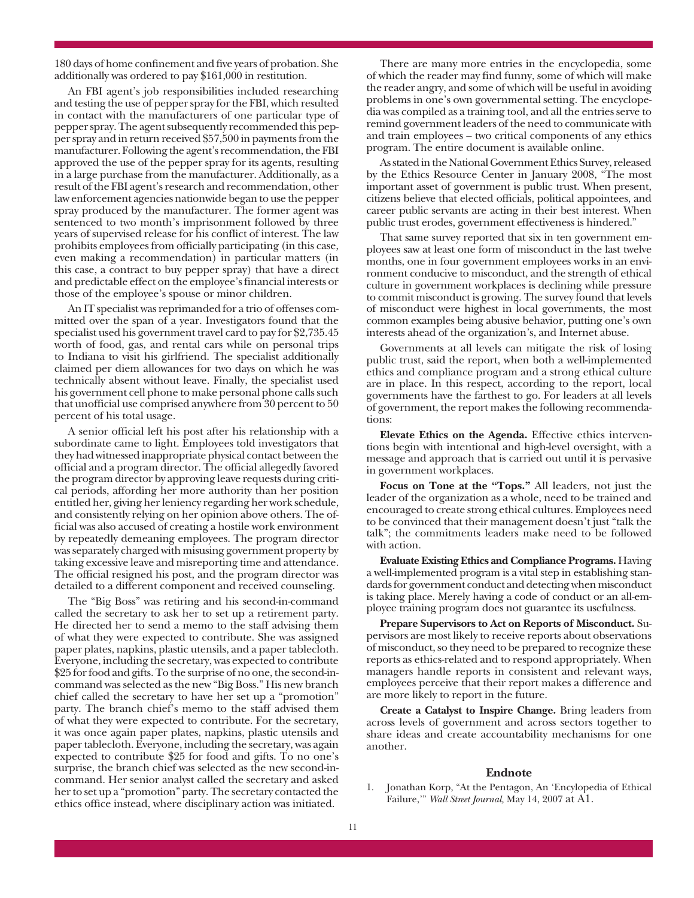180 days of home confinement and five years of probation. She additionally was ordered to pay \$161,000 in restitution.

An FBI agent's job responsibilities included researching and testing the use of pepper spray for the FBI, which resulted in contact with the manufacturers of one particular type of pepper spray. The agent subsequently recommended this pepper spray and in return received \$57,500 in payments from the manufacturer. Following the agent's recommendation, the FBI approved the use of the pepper spray for its agents, resulting in a large purchase from the manufacturer. Additionally, as a result of the FBI agent's research and recommendation, other law enforcement agencies nationwide began to use the pepper spray produced by the manufacturer. The former agent was sentenced to two month's imprisonment followed by three years of supervised release for his conflict of interest. The law prohibits employees from officially participating (in this case, even making a recommendation) in particular matters (in this case, a contract to buy pepper spray) that have a direct and predictable effect on the employee's financial interests or those of the employee's spouse or minor children.

An IT specialist was reprimanded for a trio of offenses committed over the span of a year. Investigators found that the specialist used his government travel card to pay for \$2,735.45 worth of food, gas, and rental cars while on personal trips to Indiana to visit his girlfriend. The specialist additionally claimed per diem allowances for two days on which he was technically absent without leave. Finally, the specialist used his government cell phone to make personal phone calls such that unofficial use comprised anywhere from 30 percent to 50 percent of his total usage.

A senior official left his post after his relationship with a subordinate came to light. Employees told investigators that they had witnessed inappropriate physical contact between the official and a program director. The official allegedly favored the program director by approving leave requests during critical periods, affording her more authority than her position entitled her, giving her leniency regarding her work schedule, and consistently relying on her opinion above others. The official was also accused of creating a hostile work environment by repeatedly demeaning employees. The program director was separately charged with misusing government property by taking excessive leave and misreporting time and attendance. The official resigned his post, and the program director was detailed to a different component and received counseling.

The "Big Boss" was retiring and his second-in-command called the secretary to ask her to set up a retirement party. He directed her to send a memo to the staff advising them of what they were expected to contribute. She was assigned paper plates, napkins, plastic utensils, and a paper tablecloth. Everyone, including the secretary, was expected to contribute \$25 for food and gifts. To the surprise of no one, the second-incommand was selected as the new "Big Boss." His new branch chief called the secretary to have her set up a "promotion" party. The branch chief's memo to the staff advised them of what they were expected to contribute. For the secretary, it was once again paper plates, napkins, plastic utensils and paper tablecloth. Everyone, including the secretary, was again expected to contribute \$25 for food and gifts. To no one's surprise, the branch chief was selected as the new second-incommand. Her senior analyst called the secretary and asked her to set up a "promotion" party. The secretary contacted the ethics office instead, where disciplinary action was initiated.

There are many more entries in the encyclopedia, some of which the reader may find funny, some of which will make the reader angry, and some of which will be useful in avoiding problems in one's own governmental setting. The encyclopedia was compiled as a training tool, and all the entries serve to remind government leaders of the need to communicate with and train employees – two critical components of any ethics program. The entire document is available online.

As stated in the National Government Ethics Survey, released by the Ethics Resource Center in January 2008, "The most important asset of government is public trust. When present, citizens believe that elected officials, political appointees, and career public servants are acting in their best interest. When public trust erodes, government effectiveness is hindered."

That same survey reported that six in ten government employees saw at least one form of misconduct in the last twelve months, one in four government employees works in an environment conducive to misconduct, and the strength of ethical culture in government workplaces is declining while pressure to commit misconduct is growing. The survey found that levels of misconduct were highest in local governments, the most common examples being abusive behavior, putting one's own interests ahead of the organization's, and Internet abuse.

Governments at all levels can mitigate the risk of losing public trust, said the report, when both a well-implemented ethics and compliance program and a strong ethical culture are in place. In this respect, according to the report, local governments have the farthest to go. For leaders at all levels of government, the report makes the following recommendations:

**Elevate Ethics on the Agenda.** Effective ethics interventions begin with intentional and high-level oversight, with a message and approach that is carried out until it is pervasive in government workplaces.

**Focus on Tone at the "Tops."** All leaders, not just the leader of the organization as a whole, need to be trained and encouraged to create strong ethical cultures. Employees need to be convinced that their management doesn't just "talk the talk"; the commitments leaders make need to be followed with action.

**Evaluate Existing Ethics and Compliance Programs.** Having a well-implemented program is a vital step in establishing standards for government conduct and detecting when misconduct is taking place. Merely having a code of conduct or an all-employee training program does not guarantee its usefulness.

**Prepare Supervisors to Act on Reports of Misconduct.** Supervisors are most likely to receive reports about observations of misconduct, so they need to be prepared to recognize these reports as ethics-related and to respond appropriately. When managers handle reports in consistent and relevant ways, employees perceive that their report makes a difference and are more likely to report in the future.

**Create a Catalyst to Inspire Change.** Bring leaders from across levels of government and across sectors together to share ideas and create accountability mechanisms for one another.

#### **Endnote**

1. Jonathan Korp, "At the Pentagon, An 'Encylopedia of Ethical Failure,'" *Wall Street Journal,* May 14, 2007 at A1.